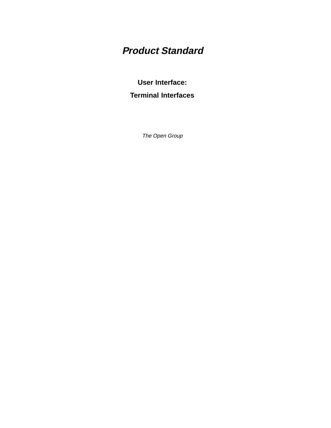# **Product Standard**

### **User Interface: Terminal Interfaces**

The Open Group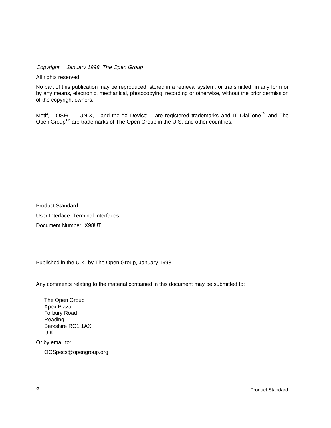Copyright  $\odot$  January 1998, The Open Group

All rights reserved.

No part of this publication may be reproduced, stored in a retrieval system, or transmitted, in any form or by any means, electronic, mechanical, photocopying, recording or otherwise, without the prior permission of the copyright owners.

Motif,  $^{\circledR}$  OSF/1,  $^{\circledR}$  UNIX,  $^{\circledR}$  and the "X Device" $^{\circledR}$  are registered trademarks and IT DialTone<sup>TM</sup> and The Open Group<sup>TM</sup> are trademarks of The Open Group in the U.S. and other countries.

Product Standard User Interface: Terminal Interfaces Document Number: X98UT

Published in the U.K. by The Open Group, January 1998.

Any comments relating to the material contained in this document may be submitted to:

The Open Group Apex Plaza Forbury Road Reading Berkshire RG1 1AX U.K.

Or by email to:

OGSpecs@opengroup.org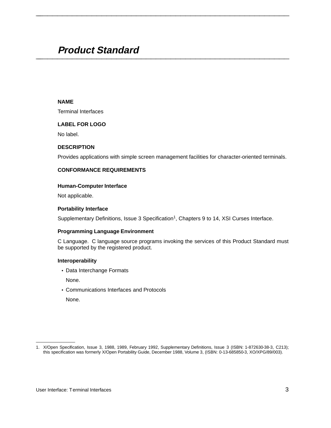## **Product Standard \_\_\_\_\_\_\_\_\_\_\_\_\_\_\_\_\_\_\_\_\_\_\_\_\_\_\_\_\_\_\_\_\_\_\_\_\_\_\_\_\_\_\_\_\_\_\_\_\_\_\_\_**

#### **NAME**

Terminal Interfaces

#### **LABEL FOR LOGO**

No label.

#### **DESCRIPTION**

Provides applications with simple screen management facilities for character-oriented terminals.

**\_\_\_\_\_\_\_\_\_\_\_\_\_\_\_\_\_\_\_\_\_\_\_\_\_\_\_\_\_\_\_\_\_\_\_\_\_\_\_\_\_\_\_\_\_\_\_\_\_\_\_\_**

#### **CONFORMANCE REQUIREMENTS**

#### **Human-Computer Interface**

Not applicable.

#### **Portability Interface**

Supplementary Definitions, Issue 3 Specification<sup>1</sup>, Chapters 9 to 14, XSI Curses Interface.

#### **Programming Language Environment**

C Language. C language source programs invoking the services of this Product Standard must be supported by the registered product.

#### **Interoperability**

• Data Interchange Formats

None.

• Communications Interfaces and Protocols

None.

\_\_\_\_\_\_\_\_\_\_\_\_\_\_\_\_\_\_

<sup>1.</sup> X/Open Specification, Issue 3, 1988, 1989, February 1992, Supplementary Definitions, Issue 3 (ISBN: 1-872630-38-3, C213); this specification was formerly X/Open Portability Guide, December 1988, Volume 3, (ISBN: 0-13-685850-3, XO/XPG/89/003).